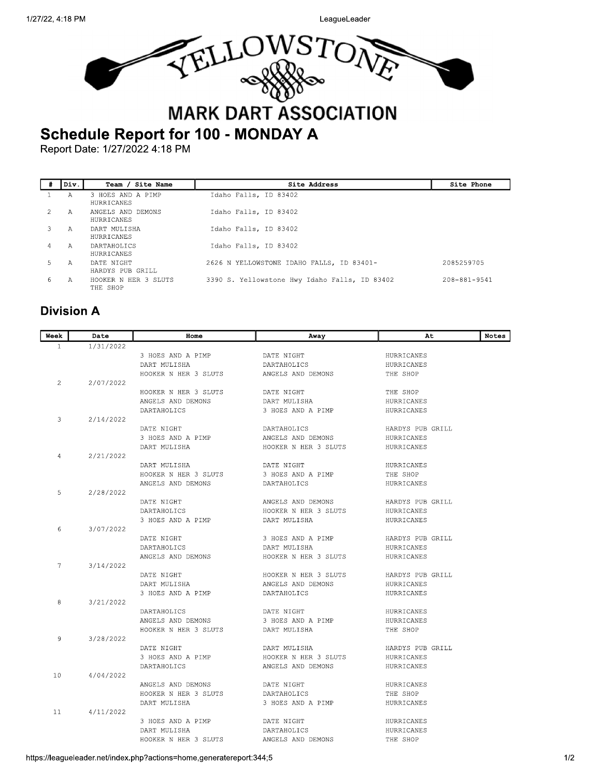LeagueLeader



|    | lDiv. | Site Name<br>Team /              | Site Address                                  | Site Phone         |
|----|-------|----------------------------------|-----------------------------------------------|--------------------|
|    | А     | 3 HOES AND A PIMP<br>HURRICANES  | Idaho Falls, ID 83402                         |                    |
|    | А     | ANGELS AND DEMONS<br>HURRICANES  | Idaho Falls, ID 83402                         |                    |
|    | А     | DART MULISHA<br>HURRICANES       | Idaho Falls, ID 83402                         |                    |
|    | A     | DARTAHOLICS<br>HURRICANES        | Idaho Falls, ID 83402                         |                    |
| 5. | А     | DATE NIGHT<br>HARDYS PUB GRILL   | 2626 N YELLOWSTONE IDAHO FALLS, ID 83401-     | 2085259705         |
| 6  | А     | HOOKER N HER 3 SLUTS<br>THE SHOP | 3390 S. Yellowstone Hwy Idaho Falls, ID 83402 | $208 - 881 - 9541$ |

## **Division A**

| Week           | Date      | Home                                      | Away                                    | At                     | Notes |
|----------------|-----------|-------------------------------------------|-----------------------------------------|------------------------|-------|
| $\mathbf{1}$   | 1/31/2022 |                                           |                                         |                        |       |
|                |           | 3 HOES AND A PIMP                         | DATE NIGHT                              | HURRICANES             |       |
|                |           | DART MULISHA                              | DARTAHOLICS                             | HURRICANES             |       |
|                |           | HOOKER N HER 3 SLUTS                      | ANGELS AND DEMONS                       | THE SHOP               |       |
| $\overline{2}$ | 2/07/2022 |                                           |                                         |                        |       |
|                |           | HOOKER N HER 3 SLUTS                      | DATE NIGHT                              | THE SHOP               |       |
|                |           | ANGELS AND DEMONS                         | DART MULISHA                            | HURRICANES             |       |
|                |           | <b>DARTAHOLICS</b>                        | 3 HOES AND A PIMP                       | HURRICANES             |       |
| 3              | 2/14/2022 |                                           |                                         |                        |       |
|                |           | DATE NIGHT                                | <b>DARTAHOLICS</b>                      | HARDYS PUB GRILL       |       |
|                |           | 3 HOES AND A PIMP                         | ANGELS AND DEMONS                       | HURRICANES             |       |
|                |           | DART MULISHA                              | HOOKER N HER 3 SLUTS                    | HURRICANES             |       |
| 4              | 2/21/2022 |                                           |                                         |                        |       |
|                |           | DART MULISHA                              | DATE NIGHT                              | HURRICANES             |       |
|                |           | HOOKER N HER 3 SLUTS<br>ANGELS AND DEMONS | 3 HOES AND A PIMP<br><b>DARTAHOLICS</b> | THE SHOP<br>HURRICANES |       |
| 5              | 2/28/2022 |                                           |                                         |                        |       |
|                |           | DATE NIGHT                                | ANGELS AND DEMONS                       | HARDYS PUB GRILL       |       |
|                |           | DARTAHOLICS                               | HOOKER N HER 3 SLUTS                    | HURRICANES             |       |
|                |           | 3 HOES AND A PIMP                         | DART MULISHA                            | HURRICANES             |       |
| 6              | 3/07/2022 |                                           |                                         |                        |       |
|                |           | DATE NIGHT                                | 3 HOES AND A PIMP                       | HARDYS PUB GRILL       |       |
|                |           | DARTAHOLICS                               | DART MULISHA                            | HURRICANES             |       |
|                |           | ANGELS AND DEMONS                         | HOOKER N HER 3 SLUTS                    | HURRICANES             |       |
| 7              | 3/14/2022 |                                           |                                         |                        |       |
|                |           | DATE NIGHT                                | HOOKER N HER 3 SLUTS                    | HARDYS PUB GRILL       |       |
|                |           | DART MULISHA                              | ANGELS AND DEMONS                       | HURRICANES             |       |
|                |           | 3 HOES AND A PIMP                         | DARTAHOLICS                             | HURRICANES             |       |
| 8              | 3/21/2022 |                                           |                                         |                        |       |
|                |           | <b>DARTAHOLICS</b>                        | DATE NIGHT                              | <b>HURRICANES</b>      |       |
|                |           | ANGELS AND DEMONS                         | 3 HOES AND A PIMP                       | HURRICANES             |       |
|                |           | HOOKER N HER 3 SLUTS                      | DART MULISHA                            | THE SHOP               |       |
| 9              | 3/28/2022 |                                           |                                         |                        |       |
|                |           | DATE NIGHT                                | DART MULISHA                            | HARDYS PUB GRILL       |       |
|                |           | 3 HOES AND A PIMP                         | HOOKER N HER 3 SLUTS                    | HURRICANES             |       |
|                |           | DARTAHOLICS                               | ANGELS AND DEMONS                       | HURRICANES             |       |
| 10             | 4/04/2022 |                                           |                                         |                        |       |
|                |           | ANGELS AND DEMONS                         | DATE NIGHT                              | HURRICANES             |       |
|                |           | HOOKER N HER 3 SLUTS                      | DARTAHOLICS                             | THE SHOP               |       |
| 11             | 4/11/2022 | DART MULISHA                              | 3 HOES AND A PIMP                       | HURRICANES             |       |
|                |           | 3 HOES AND A PIMP                         | DATE NIGHT                              | HURRICANES             |       |
|                |           | DART MULISHA                              | <b>DARTAHOLICS</b>                      | HURRICANES             |       |
|                |           | HOOKER N HER 3 SLUTS                      | ANGELS AND DEMONS                       | THE SHOP               |       |